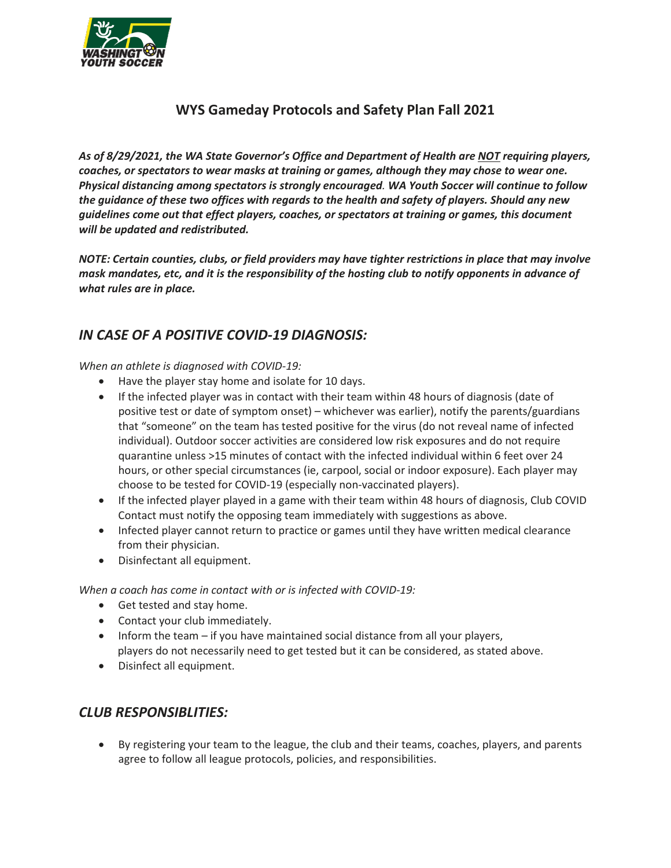

## **WYS Gameday Protocols and Safety Plan Fall 2021**

*As of 8/29/2021, the WA State Governor's Office and Department of Health are NOT requiring players, coaches, or spectators to wear masks at training or games, although they may chose to wear one. Physical distancing among spectators is strongly encouraged. WA Youth Soccer will continue to follow the guidance of these two offices with regards to the health and safety of players. Should any new guidelines come out that effect players, coaches, or spectators at training or games, this document will be updated and redistributed.*

*NOTE: Certain counties, clubs, or field providers may have tighter restrictions in place that may involve mask mandates, etc, and it is the responsibility of the hosting club to notify opponents in advance of what rules are in place.* 

## *IN CASE OF A POSITIVE COVID-19 DIAGNOSIS:*

*When an athlete is diagnosed with COVID-19:* 

- Have the player stay home and isolate for 10 days.
- If the infected player was in contact with their team within 48 hours of diagnosis (date of positive test or date of symptom onset) – whichever was earlier), notify the parents/guardians that "someone" on the team has tested positive for the virus (do not reveal name of infected individual). Outdoor soccer activities are considered low risk exposures and do not require quarantine unless >15 minutes of contact with the infected individual within 6 feet over 24 hours, or other special circumstances (ie, carpool, social or indoor exposure). Each player may choose to be tested for COVID-19 (especially non-vaccinated players).
- If the infected player played in a game with their team within 48 hours of diagnosis, Club COVID Contact must notify the opposing team immediately with suggestions as above.
- Infected player cannot return to practice or games until they have written medical clearance from their physician.
- Disinfectant all equipment.

*When a coach has come in contact with or is infected with COVID-19:* 

- Get tested and stay home.
- Contact your club immediately.
- Inform the team if you have maintained social distance from all your players, players do not necessarily need to get tested but it can be considered, as stated above.
- Disinfect all equipment.

### *CLUB RESPONSIBLITIES:*

• By registering your team to the league, the club and their teams, coaches, players, and parents agree to follow all league protocols, policies, and responsibilities.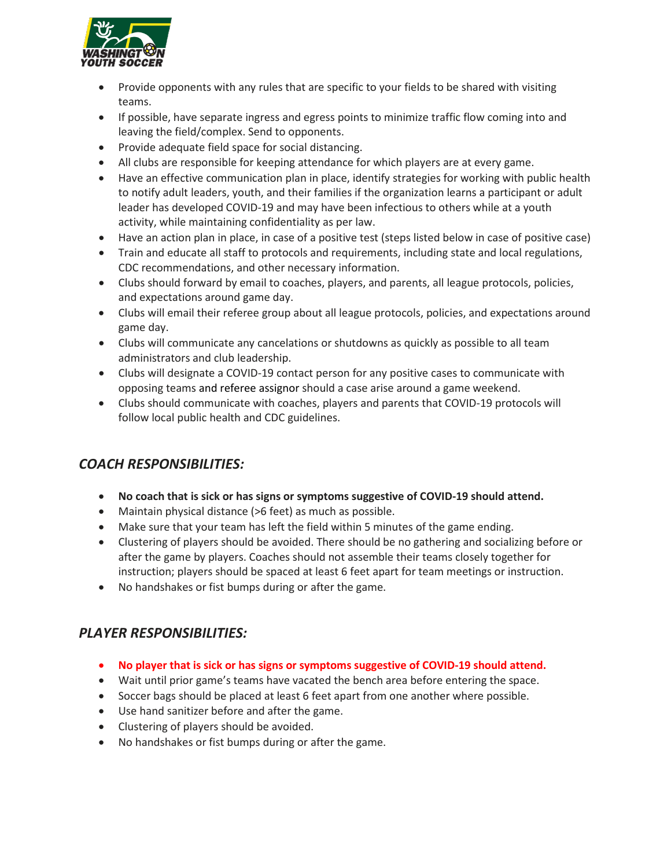

- Provide opponents with any rules that are specific to your fields to be shared with visiting teams.
- If possible, have separate ingress and egress points to minimize traffic flow coming into and leaving the field/complex. Send to opponents.
- Provide adequate field space for social distancing.
- All clubs are responsible for keeping attendance for which players are at every game.
- Have an effective communication plan in place, identify strategies for working with public health to notify adult leaders, youth, and their families if the organization learns a participant or adult leader has developed COVID-19 and may have been infectious to others while at a youth activity, while maintaining confidentiality as per law.
- Have an action plan in place, in case of a positive test (steps listed below in case of positive case)
- Train and educate all staff to protocols and requirements, including state and local regulations, CDC recommendations, and other necessary information.
- Clubs should forward by email to coaches, players, and parents, all league protocols, policies, and expectations around game day.
- Clubs will email their referee group about all league protocols, policies, and expectations around game day.
- Clubs will communicate any cancelations or shutdowns as quickly as possible to all team administrators and club leadership.
- Clubs will designate a COVID-19 contact person for any positive cases to communicate with opposing teams and referee assignor should a case arise around a game weekend.
- Clubs should communicate with coaches, players and parents that COVID-19 protocols will follow local public health and CDC guidelines.

## *COACH RESPONSIBILITIES:*

- **No coach that is sick or has signs or symptoms suggestive of COVID-19 should attend.**
- Maintain physical distance (>6 feet) as much as possible.
- Make sure that your team has left the field within 5 minutes of the game ending.
- Clustering of players should be avoided. There should be no gathering and socializing before or after the game by players. Coaches should not assemble their teams closely together for instruction; players should be spaced at least 6 feet apart for team meetings or instruction.
- No handshakes or fist bumps during or after the game.

### *PLAYER RESPONSIBILITIES:*

- **No player that is sick or has signs or symptoms suggestive of COVID-19 should attend.**
- Wait until prior game's teams have vacated the bench area before entering the space.
- Soccer bags should be placed at least 6 feet apart from one another where possible.
- Use hand sanitizer before and after the game.
- Clustering of players should be avoided.
- No handshakes or fist bumps during or after the game.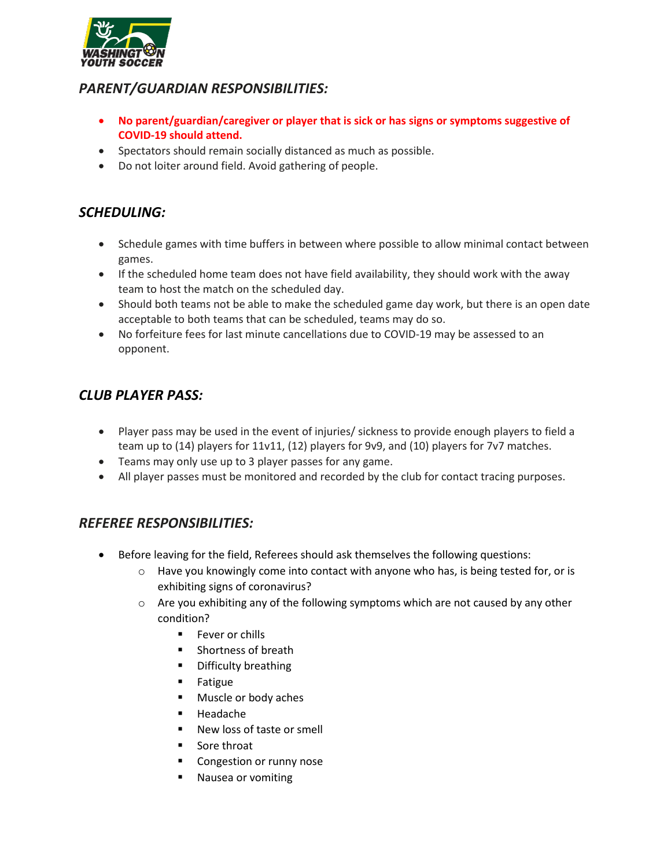

### *PARENT/GUARDIAN RESPONSIBILITIES:*

- **No parent/guardian/caregiver or player that is sick or has signs or symptoms suggestive of COVID-19 should attend.**
- Spectators should remain socially distanced as much as possible.
- Do not loiter around field. Avoid gathering of people.

## *SCHEDULING:*

- Schedule games with time buffers in between where possible to allow minimal contact between games.
- If the scheduled home team does not have field availability, they should work with the away team to host the match on the scheduled day.
- Should both teams not be able to make the scheduled game day work, but there is an open date acceptable to both teams that can be scheduled, teams may do so.
- No forfeiture fees for last minute cancellations due to COVID-19 may be assessed to an opponent.

# *CLUB PLAYER PASS:*

- Player pass may be used in the event of injuries/ sickness to provide enough players to field a team up to (14) players for 11v11, (12) players for 9v9, and (10) players for 7v7 matches.
- Teams may only use up to 3 player passes for any game.
- All player passes must be monitored and recorded by the club for contact tracing purposes.

### *REFEREE RESPONSIBILITIES:*

- Before leaving for the field, Referees should ask themselves the following questions:
	- $\circ$  Have you knowingly come into contact with anyone who has, is being tested for, or is exhibiting signs of coronavirus?
	- o Are you exhibiting any of the following symptoms which are not caused by any other condition?
		- **Fever or chills**
		- **Shortness of breath**
		- Difficulty breathing
		- **Fatigue**
		- Muscle or body aches
		- Headache
		- New loss of taste or smell
		- Sore throat
		- **Congestion or runny nose**
		- **Nausea or vomiting**